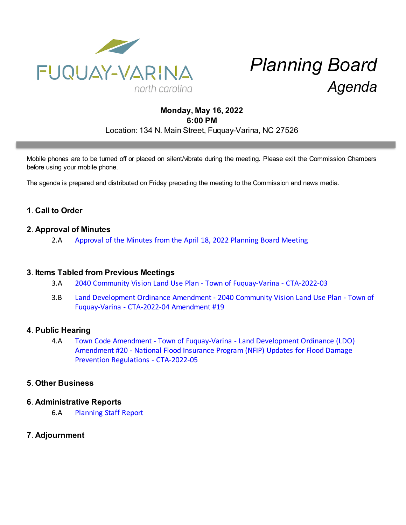

# *Planning Board Agenda*

# **Monday, May 16, 2022 6:00 PM** Location: 134 N. Main Street, Fuquay-Varina, NC 27526

Mobile phones are to be turned off or placed on silent/vibrate during the meeting. Please exit the Commission Chambers before using your mobile phone.

The agenda is prepared and distributed on Friday preceding the meeting to the Commission and news media.

## **1**. **Call to Order**

## **2**. **Approval of Minutes**

2.A [Approval of the Minutes from the April 18, 2022 Planning Board Meeting](https://d2kbkoa27fdvtw.cloudfront.net/fuquay-varina/522d12c103e21156d09e4b5e62269d310.pdf)

#### **3**. **Items Tabled from Previous Meetings**

- 3.A [2040 Community Vision Land Use Plan Town of Fuquay-Varina CTA-2022-03](https://d2kbkoa27fdvtw.cloudfront.net/fuquay-varina/9fd35f3929a4fac2025b5f0cc0b431670.pdf)
- 3.B [Land Development Ordinance Amendment 2040 Community Vision Land Use Plan Town of](https://d2kbkoa27fdvtw.cloudfront.net/fuquay-varina/38d1abcd9d7196f9beee047366ca54a80.pdf) [Fuquay-Varina - CTA-2022-04 Amendment #19](https://d2kbkoa27fdvtw.cloudfront.net/fuquay-varina/38d1abcd9d7196f9beee047366ca54a80.pdf)

#### **4**. **Public Hearing**

4.A [Town Code Amendment - Town of Fuquay-Varina - Land Development Ordinance \(LDO\)](https://d2kbkoa27fdvtw.cloudfront.net/fuquay-varina/cfe9dcf15c80e9fbff686591b536a4e70.pdf) [Amendment #20 - National Flood Insurance Program \(NFIP\) Updates for Flood Damage](https://d2kbkoa27fdvtw.cloudfront.net/fuquay-varina/cfe9dcf15c80e9fbff686591b536a4e70.pdf) [Prevention Regulations - CTA-2022-05](https://d2kbkoa27fdvtw.cloudfront.net/fuquay-varina/cfe9dcf15c80e9fbff686591b536a4e70.pdf)

## **5**. **Other Business**

#### **6**. **Administrative Reports**

6.A [Planning Staff Report](https://d2kbkoa27fdvtw.cloudfront.net/fuquay-varina/3fcac75207db32a9eb58e2c60670dfe30.pdf)

## **7**. **Adjournment**